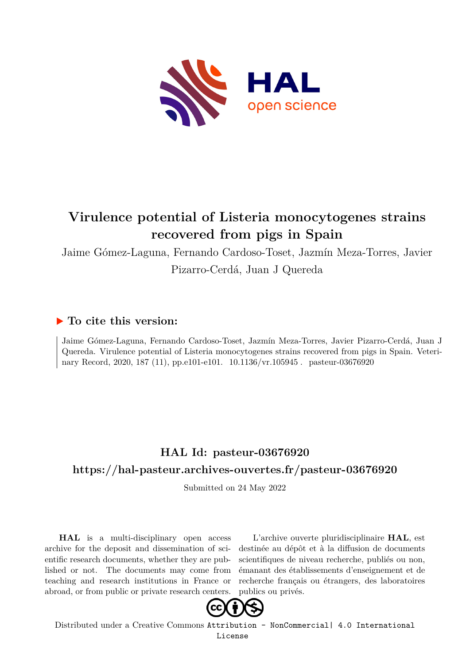

# **Virulence potential of Listeria monocytogenes strains recovered from pigs in Spain**

Jaime Gómez-Laguna, Fernando Cardoso-Toset, Jazmín Meza-Torres, Javier

Pizarro-Cerdá, Juan J Quereda

# **To cite this version:**

Jaime Gómez-Laguna, Fernando Cardoso-Toset, Jazmín Meza-Torres, Javier Pizarro-Cerdá, Juan J Quereda. Virulence potential of Listeria monocytogenes strains recovered from pigs in Spain. Veterinary Record, 2020, 187 (11), pp.e101-e101. 10.1136/vr.105945. pasteur-03676920

# **HAL Id: pasteur-03676920 <https://hal-pasteur.archives-ouvertes.fr/pasteur-03676920>**

Submitted on 24 May 2022

**HAL** is a multi-disciplinary open access archive for the deposit and dissemination of scientific research documents, whether they are published or not. The documents may come from teaching and research institutions in France or abroad, or from public or private research centers.

L'archive ouverte pluridisciplinaire **HAL**, est destinée au dépôt et à la diffusion de documents scientifiques de niveau recherche, publiés ou non, émanant des établissements d'enseignement et de recherche français ou étrangers, des laboratoires publics ou privés.



Distributed under a Creative Commons [Attribution - NonCommercial| 4.0 International](http://creativecommons.org/licenses/by-nc/4.0/) [License](http://creativecommons.org/licenses/by-nc/4.0/)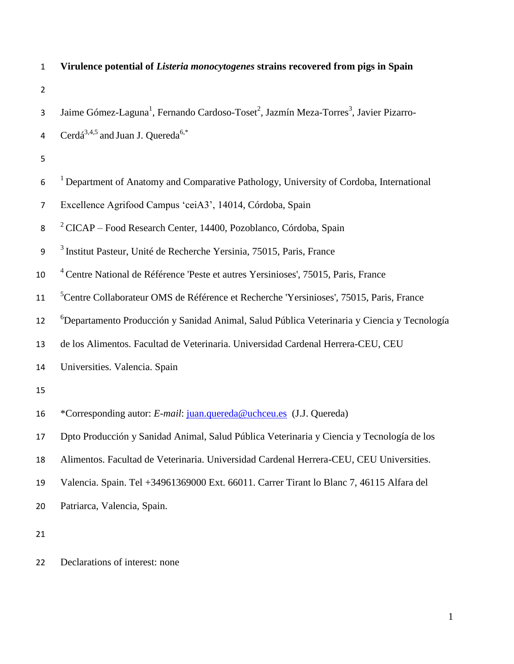| $\mathbf 1$      | Virulence potential of Listeria monocytogenes strains recovered from pigs in Spain                                        |  |  |  |  |  |
|------------------|---------------------------------------------------------------------------------------------------------------------------|--|--|--|--|--|
| $\overline{2}$   |                                                                                                                           |  |  |  |  |  |
| $\mathsf 3$      | Jaime Gómez-Laguna <sup>1</sup> , Fernando Cardoso-Toset <sup>2</sup> , Jazmín Meza-Torres <sup>3</sup> , Javier Pizarro- |  |  |  |  |  |
| $\pmb{4}$        | Cerdá <sup>3,4,5</sup> and Juan J. Quereda <sup>6,*</sup>                                                                 |  |  |  |  |  |
| 5                |                                                                                                                           |  |  |  |  |  |
| 6                | <sup>1</sup> Department of Anatomy and Comparative Pathology, University of Cordoba, International                        |  |  |  |  |  |
| $\overline{7}$   | Excellence Agrifood Campus 'ceiA3', 14014, Córdoba, Spain                                                                 |  |  |  |  |  |
| 8                | <sup>2</sup> CICAP – Food Research Center, 14400, Pozoblanco, Córdoba, Spain                                              |  |  |  |  |  |
| $\boldsymbol{9}$ | <sup>3</sup> Institut Pasteur, Unité de Recherche Yersinia, 75015, Paris, France                                          |  |  |  |  |  |
| 10               | <sup>4</sup> Centre National de Référence 'Peste et autres Yersinioses', 75015, Paris, France                             |  |  |  |  |  |
| 11               | <sup>5</sup> Centre Collaborateur OMS de Référence et Recherche 'Yersinioses', 75015, Paris, France                       |  |  |  |  |  |
| 12               | <sup>6</sup> Departamento Producción y Sanidad Animal, Salud Pública Veterinaria y Ciencia y Tecnología                   |  |  |  |  |  |
| 13               | de los Alimentos. Facultad de Veterinaria. Universidad Cardenal Herrera-CEU, CEU                                          |  |  |  |  |  |
| 14               | Universities. Valencia. Spain                                                                                             |  |  |  |  |  |
| 15               |                                                                                                                           |  |  |  |  |  |
| 16               | *Corresponding autor: E-mail: juan.quereda@uchceu.es (J.J. Quereda)                                                       |  |  |  |  |  |
| 17               | Dpto Producción y Sanidad Animal, Salud Pública Veterinaria y Ciencia y Tecnología de los                                 |  |  |  |  |  |
| 18               | Alimentos. Facultad de Veterinaria. Universidad Cardenal Herrera-CEU, CEU Universities.                                   |  |  |  |  |  |
| 19               | Valencia. Spain. Tel +34961369000 Ext. 66011. Carrer Tirant lo Blanc 7, 46115 Alfara del                                  |  |  |  |  |  |
| 20               | Patriarca, Valencia, Spain.                                                                                               |  |  |  |  |  |

Declarations of interest: none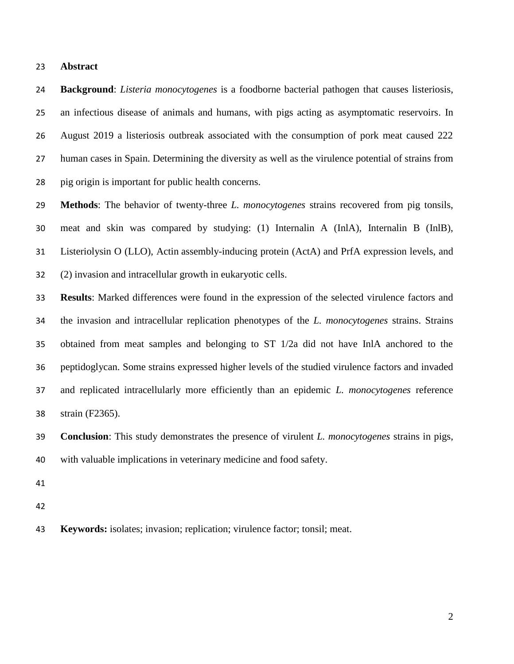#### **Abstract**

 **Background**: *Listeria monocytogenes* is a foodborne bacterial pathogen that causes listeriosis, an infectious disease of animals and humans, with pigs acting as asymptomatic reservoirs. In August 2019 a listeriosis outbreak associated with the consumption of pork meat caused 222 human cases in Spain. Determining the diversity as well as the virulence potential of strains from pig origin is important for public health concerns.

 **Methods**: The behavior of twenty-three *L. monocytogenes* strains recovered from pig tonsils, meat and skin was compared by studying: (1) Internalin A (InlA), Internalin B (InlB), Listeriolysin O (LLO), Actin assembly-inducing protein (ActA) and PrfA expression levels, and (2) invasion and intracellular growth in eukaryotic cells.

 **Results**: Marked differences were found in the expression of the selected virulence factors and the invasion and intracellular replication phenotypes of the *L. monocytogenes* strains. Strains obtained from meat samples and belonging to ST 1/2a did not have InlA anchored to the peptidoglycan. Some strains expressed higher levels of the studied virulence factors and invaded and replicated intracellularly more efficiently than an epidemic *L. monocytogenes* reference strain (F2365).

 **Conclusion**: This study demonstrates the presence of virulent *L. monocytogenes* strains in pigs, with valuable implications in veterinary medicine and food safety.

**Keywords:** isolates; invasion; replication; virulence factor; tonsil; meat.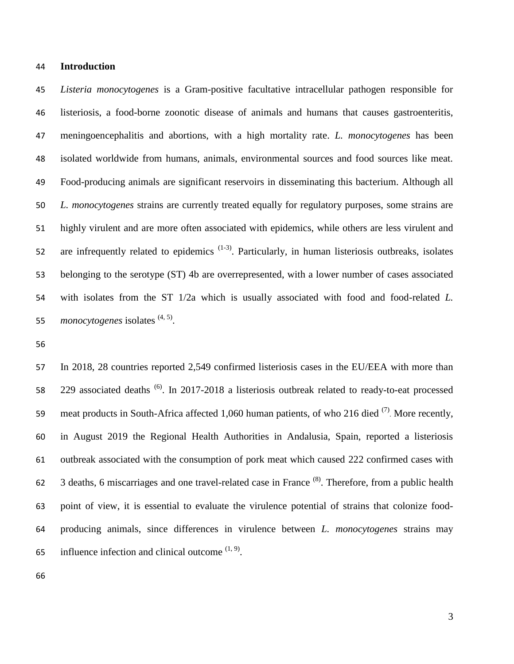#### **Introduction**

 *Listeria monocytogenes* is a Gram-positive facultative intracellular pathogen responsible for listeriosis, a food-borne zoonotic disease of animals and humans that causes gastroenteritis, meningoencephalitis and abortions, with a high mortality rate. *L. monocytogenes* has been isolated worldwide from humans, animals, environmental sources and food sources like meat. Food-producing animals are significant reservoirs in disseminating this bacterium. Although all *L. monocytogenes* strains are currently treated equally for regulatory purposes, some strains are highly virulent and are more often associated with epidemics, while others are less virulent and 52 are infrequently related to epidemics  $(1-3)$ . Particularly, in human listeriosis outbreaks, isolates belonging to the serotype (ST) 4b are overrepresented, with a lower number of cases associated with isolates from the ST 1/2a which is usually associated with food and food-related *L.*  55 monocytogenes isolates <sup>(4, 5)</sup>.

 In 2018, 28 countries reported 2,549 confirmed listeriosis cases in the EU/EEA with more than 58 229 associated deaths <sup>(6)</sup>. In 2017-2018 a listeriosis outbreak related to ready-to-eat processed 59 meat products in South-Africa affected 1,060 human patients, of who 216 died  $(7)$ . More recently, in August 2019 the Regional Health Authorities in Andalusia, Spain, reported a listeriosis outbreak associated with the consumption of pork meat which caused 222 confirmed cases with 62 3 deaths, 6 miscarriages and one travel-related case in France  $(8)$ . Therefore, from a public health point of view, it is essential to evaluate the virulence potential of strains that colonize food- producing animals, since differences in virulence between *L. monocytogenes* strains may 65 influence infection and clinical outcome  $(1, 9)$ .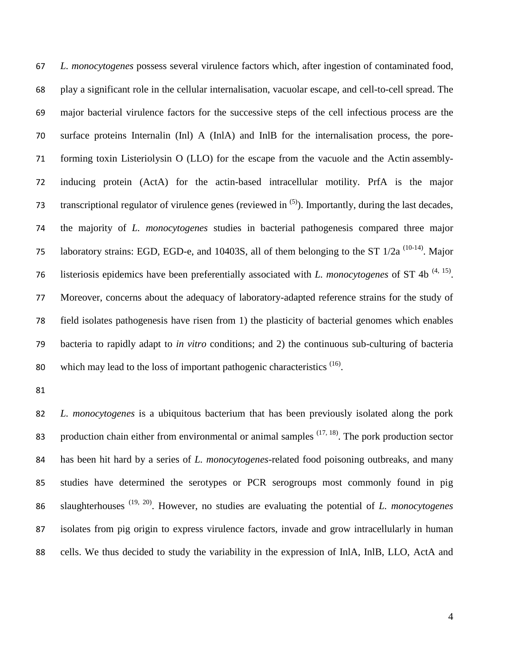*L. monocytogenes* possess several virulence factors which, after ingestion of contaminated food, play a significant role in the cellular internalisation, vacuolar escape, and cell-to-cell spread. The major bacterial virulence factors for the successive steps of the cell infectious process are the surface proteins Internalin (Inl) A (InlA) and InlB for the internalisation process, the pore- forming toxin Listeriolysin O (LLO) for the escape from the vacuole and the Actin assembly- inducing protein (ActA) for the actin-based intracellular motility. PrfA is the major 73 transcriptional regulator of virulence genes (reviewed in  $(5)$ ). Importantly, during the last decades, the majority of *L. monocytogenes* studies in bacterial pathogenesis compared three major 75 laboratory strains: EGD, EGD-e, and 10403S, all of them belonging to the ST  $1/2a^{(10-14)}$ . Major 76 listeriosis epidemics have been preferentially associated with *L. monocytogenes* of ST 4b<sup>(4, 15)</sup>. Moreover, concerns about the adequacy of laboratory-adapted reference strains for the study of field isolates pathogenesis have risen from 1) the plasticity of bacterial genomes which enables bacteria to rapidly adapt to *in vitro* conditions; and 2) the continuous sub-culturing of bacteria 80 which may lead to the loss of important pathogenic characteristics  $(16)$ .

 *L. monocytogenes* is a ubiquitous bacterium that has been previously isolated along the pork 83 production chain either from environmental or animal samples  $(17, 18)$ . The pork production sector has been hit hard by a series of *L. monocytogenes*-related food poisoning outbreaks, and many studies have determined the serotypes or PCR serogroups most commonly found in pig slaughterhouses (19, 20) . However, no studies are evaluating the potential of *L. monocytogenes* isolates from pig origin to express virulence factors, invade and grow intracellularly in human cells. We thus decided to study the variability in the expression of InlA, InlB, LLO, ActA and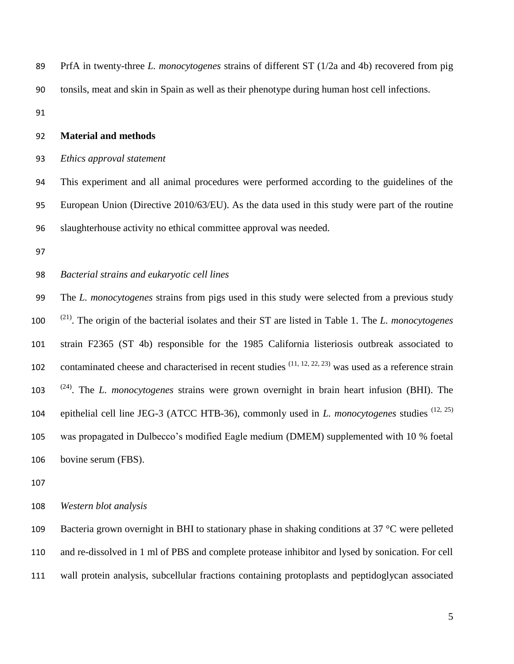| 89 | PrfA in twenty-three L. <i>monocytogenes</i> strains of different $ST(1/2a$ and 4b) recovered from pig |
|----|--------------------------------------------------------------------------------------------------------|
| 90 | tonsils, meat and skin in Spain as well as their phenotype during human host cell infections.          |

#### **Material and methods**

#### *Ethics approval statement*

 This experiment and all animal procedures were performed according to the guidelines of the European Union (Directive 2010/63/EU). As the data used in this study were part of the routine slaughterhouse activity no ethical committee approval was needed.

*Bacterial strains and eukaryotic cell lines*

 The *L. monocytogenes* strains from pigs used in this study were selected from a previous study (21) . The origin of the bacterial isolates and their ST are listed in Table 1. The *L. monocytogenes* strain F2365 (ST 4b) responsible for the 1985 California listeriosis outbreak associated to 102 contaminated cheese and characterised in recent studies  $(11, 12, 22, 23)$  was used as a reference strain (24) . The *L. monocytogenes* strains were grown overnight in brain heart infusion (BHI). The epithelial cell line JEG-3 (ATCC HTB-36), commonly used in *L. monocytogenes* studies (12, 25) was propagated in Dulbecco's modified Eagle medium (DMEM) supplemented with 10 % foetal bovine serum (FBS).

*Western blot analysis*

109 Bacteria grown overnight in BHI to stationary phase in shaking conditions at 37 °C were pelleted and re-dissolved in 1 ml of PBS and complete protease inhibitor and lysed by sonication. For cell wall protein analysis, subcellular fractions containing protoplasts and peptidoglycan associated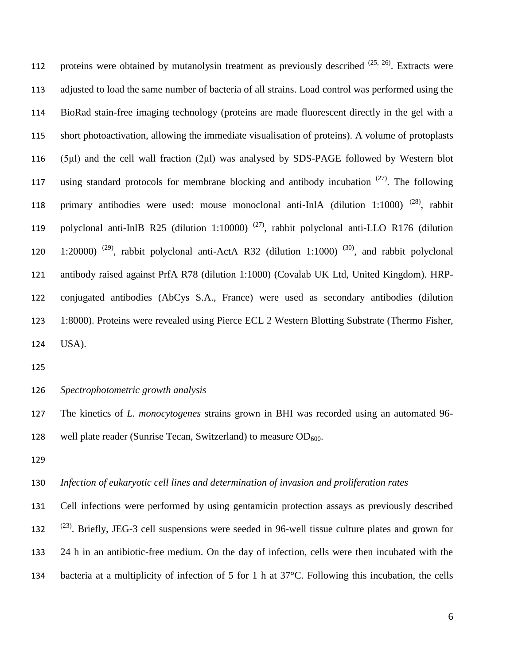112 proteins were obtained by mutanolysin treatment as previously described  $(25, 26)$ . Extracts were adjusted to load the same number of bacteria of all strains. Load control was performed using the BioRad stain-free imaging technology (proteins are made fluorescent directly in the gel with a short photoactivation, allowing the immediate visualisation of proteins). A volume of protoplasts (5μl) and the cell wall fraction (2μl) was analysed by SDS-PAGE followed by Western blot 117 using standard protocols for membrane blocking and antibody incubation  $(27)$ . The following 118 primary antibodies were used: mouse monoclonal anti-InlA (dilution 1:1000)  $^{(28)}$ , rabbit 119 polyclonal anti-InlB R25 (dilution 1:10000)<sup>(27)</sup>, rabbit polyclonal anti-LLO R176 (dilution 120 1:20000)<sup>(29)</sup>, rabbit polyclonal anti-ActA R32 (dilution 1:1000)<sup>(30)</sup>, and rabbit polyclonal antibody raised against PrfA R78 (dilution 1:1000) (Covalab UK Ltd, United Kingdom). HRP- conjugated antibodies (AbCys S.A., France) were used as secondary antibodies (dilution 1:8000). Proteins were revealed using Pierce ECL 2 Western Blotting Substrate (Thermo Fisher, USA).

*Spectrophotometric growth analysis*

 The kinetics of *L. monocytogenes* strains grown in BHI was recorded using an automated 96- 128 well plate reader (Sunrise Tecan, Switzerland) to measure  $OD_{600}$ .

*Infection of eukaryotic cell lines and determination of invasion and proliferation rates*

 Cell infections were performed by using gentamicin protection assays as previously described  $(23)$ . Briefly, JEG-3 cell suspensions were seeded in 96-well tissue culture plates and grown for 24 h in an antibiotic-free medium. On the day of infection, cells were then incubated with the bacteria at a multiplicity of infection of 5 for 1 h at 37°C. Following this incubation, the cells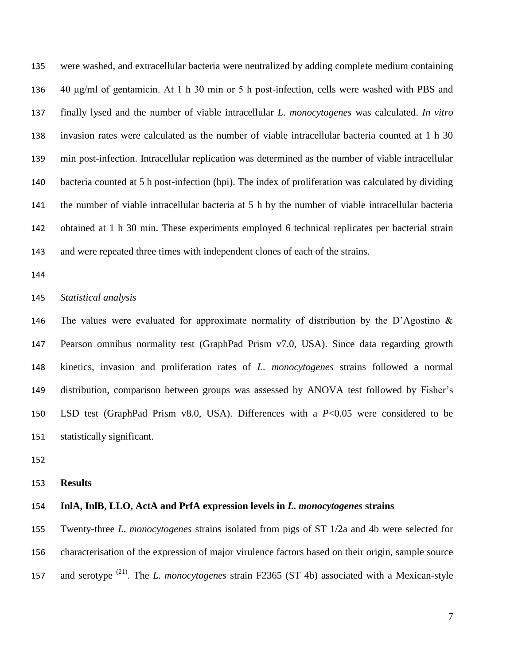were washed, and extracellular bacteria were neutralized by adding complete medium containing 40 μg/ml of gentamicin. At 1 h 30 min or 5 h post-infection, cells were washed with PBS and finally lysed and the number of viable intracellular *L. monocytogenes* was calculated. *In vitro* invasion rates were calculated as the number of viable intracellular bacteria counted at 1 h 30 min post-infection. Intracellular replication was determined as the number of viable intracellular bacteria counted at 5 h post-infection (hpi). The index of proliferation was calculated by dividing the number of viable intracellular bacteria at 5 h by the number of viable intracellular bacteria obtained at 1 h 30 min. These experiments employed 6 technical replicates per bacterial strain and were repeated three times with independent clones of each of the strains.

#### *Statistical analysis*

 The values were evaluated for approximate normality of distribution by the D'Agostino & Pearson omnibus normality test (GraphPad Prism v7.0, USA). Since data regarding growth kinetics, invasion and proliferation rates of *L. monocytogenes* strains followed a normal distribution, comparison between groups was assessed by ANOVA test followed by Fisher's LSD test (GraphPad Prism v8.0, USA). Differences with a *P*<0.05 were considered to be statistically significant.

#### **Results**

#### **InlA, InlB, LLO, ActA and PrfA expression levels in** *L. monocytogenes* **strains**

 Twenty-three *L. monocytogenes* strains isolated from pigs of ST 1/2a and 4b were selected for characterisation of the expression of major virulence factors based on their origin, sample source and serotype (21) . The *L. monocytogenes* strain F2365 (ST 4b) associated with a Mexican-style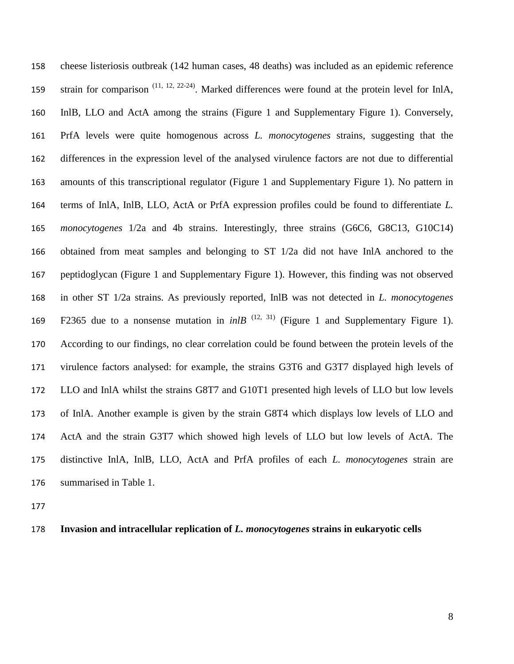cheese listeriosis outbreak (142 human cases, 48 deaths) was included as an epidemic reference 159 strain for comparison  $(11, 12, 22-24)$ . Marked differences were found at the protein level for InlA, InlB, LLO and ActA among the strains (Figure 1 and Supplementary Figure 1). Conversely, PrfA levels were quite homogenous across *L. monocytogenes* strains, suggesting that the differences in the expression level of the analysed virulence factors are not due to differential amounts of this transcriptional regulator (Figure 1 and Supplementary Figure 1). No pattern in terms of InlA, InlB, LLO, ActA or PrfA expression profiles could be found to differentiate *L. monocytogenes* 1/2a and 4b strains. Interestingly, three strains (G6C6, G8C13, G10C14) obtained from meat samples and belonging to ST 1/2a did not have InlA anchored to the peptidoglycan (Figure 1 and Supplementary Figure 1). However, this finding was not observed in other ST 1/2a strains. As previously reported, InlB was not detected in *L. monocytogenes* 169 F2365 due to a nonsense mutation in  $inIB$ <sup>(12, 31)</sup> (Figure 1 and Supplementary Figure 1). According to our findings, no clear correlation could be found between the protein levels of the virulence factors analysed: for example, the strains G3T6 and G3T7 displayed high levels of LLO and InlA whilst the strains G8T7 and G10T1 presented high levels of LLO but low levels of InlA. Another example is given by the strain G8T4 which displays low levels of LLO and ActA and the strain G3T7 which showed high levels of LLO but low levels of ActA. The distinctive InlA, InlB, LLO, ActA and PrfA profiles of each *L. monocytogenes* strain are summarised in Table 1.

### **Invasion and intracellular replication of** *L. monocytogenes* **strains in eukaryotic cells**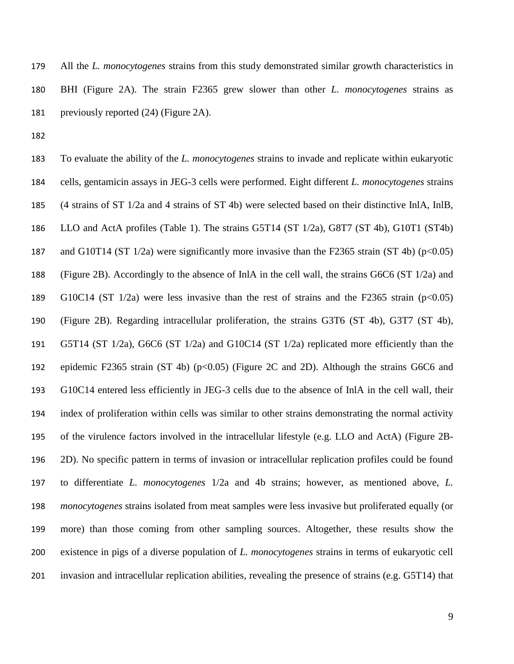All the *L. monocytogenes* strains from this study demonstrated similar growth characteristics in BHI (Figure 2A). The strain F2365 grew slower than other *L. monocytogenes* strains as previously reported (24) (Figure 2A).

 To evaluate the ability of the *L. monocytogenes* strains to invade and replicate within eukaryotic cells, gentamicin assays in JEG-3 cells were performed. Eight different *L. monocytogenes* strains (4 strains of ST 1/2a and 4 strains of ST 4b) were selected based on their distinctive InlA, InlB, LLO and ActA profiles (Table 1). The strains G5T14 (ST 1/2a), G8T7 (ST 4b), G10T1 (ST4b) 187 and G10T14 (ST 1/2a) were significantly more invasive than the F2365 strain (ST 4b) ( $p$ <0.05) (Figure 2B). Accordingly to the absence of InlA in the cell wall, the strains G6C6 (ST 1/2a) and G10C14 (ST 1/2a) were less invasive than the rest of strains and the F2365 strain (p<0.05) (Figure 2B). Regarding intracellular proliferation, the strains G3T6 (ST 4b), G3T7 (ST 4b), G5T14 (ST 1/2a), G6C6 (ST 1/2a) and G10C14 (ST 1/2a) replicated more efficiently than the epidemic F2365 strain (ST 4b) (p<0.05) (Figure 2C and 2D). Although the strains G6C6 and G10C14 entered less efficiently in JEG-3 cells due to the absence of InlA in the cell wall, their index of proliferation within cells was similar to other strains demonstrating the normal activity of the virulence factors involved in the intracellular lifestyle (e.g. LLO and ActA) (Figure 2B- 2D). No specific pattern in terms of invasion or intracellular replication profiles could be found to differentiate *L. monocytogenes* 1/2a and 4b strains; however, as mentioned above, *L. monocytogenes* strains isolated from meat samples were less invasive but proliferated equally (or more) than those coming from other sampling sources. Altogether, these results show the existence in pigs of a diverse population of *L. monocytogenes* strains in terms of eukaryotic cell invasion and intracellular replication abilities, revealing the presence of strains (e.g. G5T14) that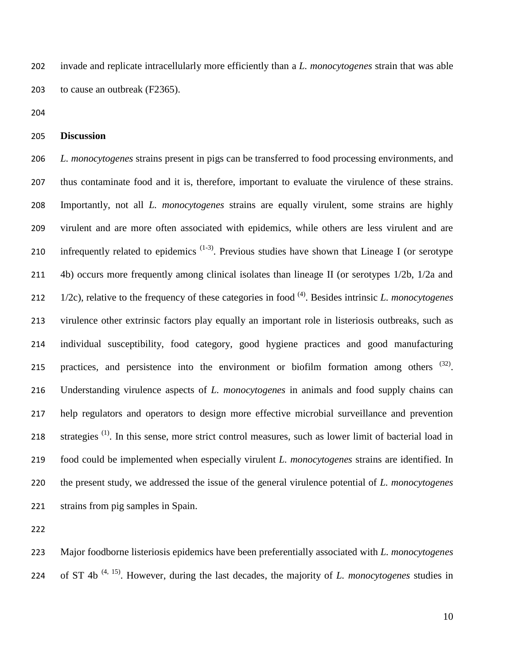invade and replicate intracellularly more efficiently than a *L. monocytogenes* strain that was able to cause an outbreak (F2365).

#### **Discussion**

 *L. monocytogenes* strains present in pigs can be transferred to food processing environments, and thus contaminate food and it is, therefore, important to evaluate the virulence of these strains. Importantly, not all *L. monocytogenes* strains are equally virulent, some strains are highly virulent and are more often associated with epidemics, while others are less virulent and are 210 infrequently related to epidemics  $(1-3)$ . Previous studies have shown that Lineage I (or serotype 4b) occurs more frequently among clinical isolates than lineage II (or serotypes 1/2b, 1/2a and 212 1/2c), relative to the frequency of these categories in food <sup>(4)</sup>. Besides intrinsic *L. monocytogenes*  virulence other extrinsic factors play equally an important role in listeriosis outbreaks, such as individual susceptibility, food category, good hygiene practices and good manufacturing 215 practices, and persistence into the environment or biofilm formation among others  $(32)$ . Understanding virulence aspects of *L. monocytogenes* in animals and food supply chains can help regulators and operators to design more effective microbial surveillance and prevention 218 strategies<sup>(1)</sup>. In this sense, more strict control measures, such as lower limit of bacterial load in food could be implemented when especially virulent *L. monocytogenes* strains are identified. In the present study, we addressed the issue of the general virulence potential of *L. monocytogenes* strains from pig samples in Spain.

 Major foodborne listeriosis epidemics have been preferentially associated with *L. monocytogenes* 224 of ST 4b<sup> $(4, 15)$ </sup>. However, during the last decades, the majority of *L. monocytogenes* studies in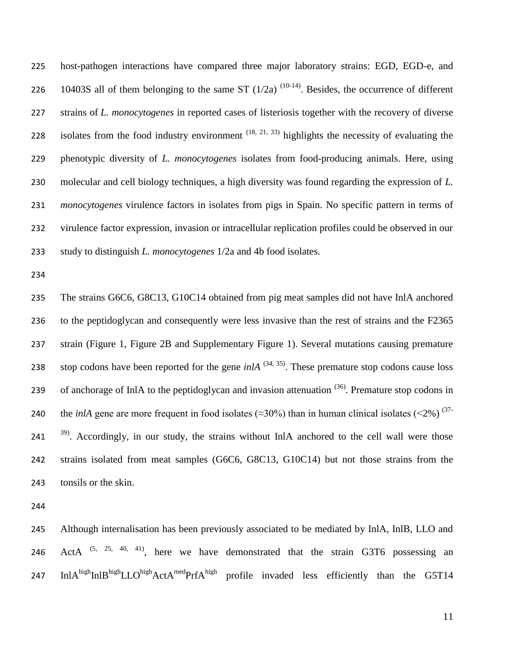host-pathogen interactions have compared three major laboratory strains: EGD, EGD-e, and 226 10403S all of them belonging to the same ST  $(1/2a)$   $(10-14)$ . Besides, the occurrence of different strains of *L. monocytogenes* in reported cases of listeriosis together with the recovery of diverse 228 isolates from the food industry environment  $(18, 21, 33)$  highlights the necessity of evaluating the phenotypic diversity of *L. monocytogenes* isolates from food-producing animals. Here, using molecular and cell biology techniques, a high diversity was found regarding the expression of *L. monocytogenes* virulence factors in isolates from pigs in Spain. No specific pattern in terms of virulence factor expression, invasion or intracellular replication profiles could be observed in our study to distinguish *L. monocytogenes* 1/2a and 4b food isolates.

 The strains G6C6, G8C13, G10C14 obtained from pig meat samples did not have InlA anchored to the peptidoglycan and consequently were less invasive than the rest of strains and the F2365 strain (Figure 1, Figure 2B and Supplementary Figure 1). Several mutations causing premature stop codons have been reported for the gene *inlA*  $^{(34, 35)}$ . These premature stop codons cause loss 239 of anchorage of InlA to the peptidoglycan and invasion attenuation  $(36)$ . Premature stop codons in the *inlA* gene are more frequent in food isolates ( $\approx$ 30%) than in human clinical isolates ( $\lt$ 2%)<sup>(37-</sup> . Accordingly, in our study, the strains without InlA anchored to the cell wall were those strains isolated from meat samples (G6C6, G8C13, G10C14) but not those strains from the tonsils or the skin.

 Although internalisation has been previously associated to be mediated by InlA, InlB, LLO and 246 ActA  $(5, 25, 40, 41)$ , here we have demonstrated that the strain G3T6 possessing an 247 InlA<sup>high</sup>InlB<sup>high</sup>LLO<sup>high</sup>ActA<sup>med</sup>PrfA<sup>high</sup> profile invaded less efficiently than the G5T14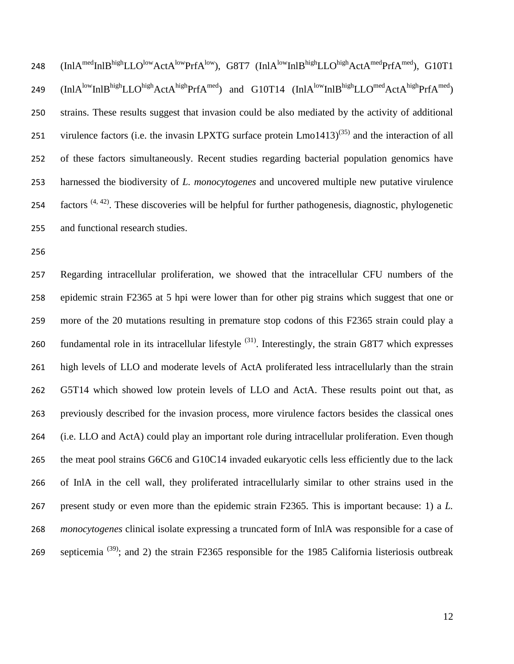248 (InlA<sup>med</sup>InlB<sup>high</sup>LLO<sup>low</sup>ActA<sup>low</sup>PrfA<sup>low</sup>), G8T7 (InlA<sup>low</sup>InlB<sup>high</sup>LLO<sup>high</sup>ActA<sup>med</sup>PrfA<sup>med</sup>), G10T1 249 (InlA<sup>low</sup>InlB<sup>high</sup>LLO<sup>high</sup>ActA<sup>high</sup>PrfA<sup>med</sup>) and G10T14 (InlA<sup>low</sup>InlB<sup>high</sup>LLO<sup>med</sup>ActA<sup>high</sup>PrfA<sup>med</sup>) strains. These results suggest that invasion could be also mediated by the activity of additional 251 virulence factors (i.e. the invasin LPXTG surface protein  $\text{L}$ mo1413)<sup>(35)</sup> and the interaction of all of these factors simultaneously. Recent studies regarding bacterial population genomics have harnessed the biodiversity of *L. monocytogenes* and uncovered multiple new putative virulence  $\cdot$  factors  $(4, 42)$ . These discoveries will be helpful for further pathogenesis, diagnostic, phylogenetic and functional research studies.

 Regarding intracellular proliferation, we showed that the intracellular CFU numbers of the epidemic strain F2365 at 5 hpi were lower than for other pig strains which suggest that one or more of the 20 mutations resulting in premature stop codons of this F2365 strain could play a 260 fundamental role in its intracellular lifestyle  $(31)$ . Interestingly, the strain G8T7 which expresses high levels of LLO and moderate levels of ActA proliferated less intracellularly than the strain G5T14 which showed low protein levels of LLO and ActA. These results point out that, as previously described for the invasion process, more virulence factors besides the classical ones (i.e. LLO and ActA) could play an important role during intracellular proliferation. Even though 265 the meat pool strains G6C6 and G10C14 invaded eukaryotic cells less efficiently due to the lack of InlA in the cell wall, they proliferated intracellularly similar to other strains used in the present study or even more than the epidemic strain F2365. This is important because: 1) a *L. monocytogenes* clinical isolate expressing a truncated form of InlA was responsible for a case of 269 septicemia  $(39)$ ; and 2) the strain F2365 responsible for the 1985 California listeriosis outbreak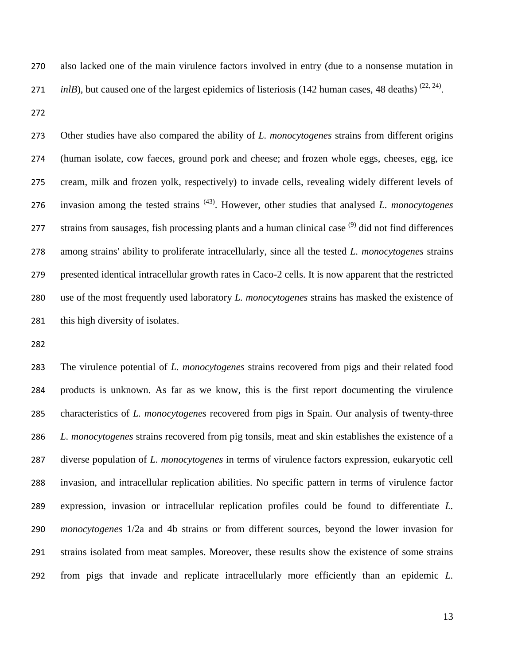also lacked one of the main virulence factors involved in entry (due to a nonsense mutation in *inlB*), but caused one of the largest epidemics of listeriosis (142 human cases, 48 deaths)  $(22, 24)$ .

 Other studies have also compared the ability of *L. monocytogenes* strains from different origins (human isolate, cow faeces, ground pork and cheese; and frozen whole eggs, cheeses, egg, ice cream, milk and frozen yolk, respectively) to invade cells, revealing widely different levels of 276 invasion among the tested strains<sup>(43)</sup>. However, other studies that analysed *L. monocytogenes* 277 strains from sausages, fish processing plants and a human clinical case  $(9)$  did not find differences among strains' ability to proliferate intracellularly, since all the tested *L. monocytogenes* strains presented identical intracellular growth rates in Caco-2 cells. It is now apparent that the restricted use of the most frequently used laboratory *L. monocytogenes* strains has masked the existence of 281 this high diversity of isolates.

 The virulence potential of *L. monocytogenes* strains recovered from pigs and their related food products is unknown. As far as we know, this is the first report documenting the virulence characteristics of *L. monocytogenes* recovered from pigs in Spain. Our analysis of twenty-three *L. monocytogenes* strains recovered from pig tonsils, meat and skin establishes the existence of a diverse population of *L. monocytogenes* in terms of virulence factors expression, eukaryotic cell invasion, and intracellular replication abilities. No specific pattern in terms of virulence factor expression, invasion or intracellular replication profiles could be found to differentiate *L. monocytogenes* 1/2a and 4b strains or from different sources, beyond the lower invasion for strains isolated from meat samples. Moreover, these results show the existence of some strains from pigs that invade and replicate intracellularly more efficiently than an epidemic *L.*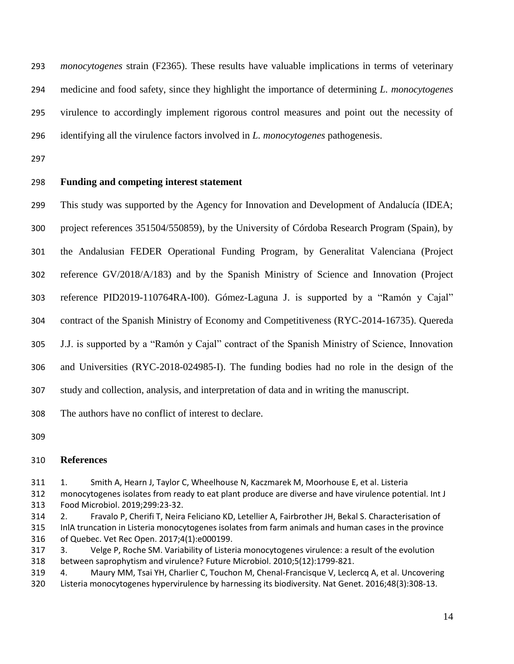*monocytogenes* strain (F2365). These results have valuable implications in terms of veterinary medicine and food safety, since they highlight the importance of determining *L. monocytogenes* virulence to accordingly implement rigorous control measures and point out the necessity of identifying all the virulence factors involved in *L. monocytogenes* pathogenesis.

## **Funding and competing interest statement**

This study was supported by the Agency for Innovation and Development of Andalucía (IDEA;

project references 351504/550859), by the University of Córdoba Research Program (Spain), by

the Andalusian FEDER Operational Funding Program, by Generalitat Valenciana (Project

reference GV/2018/A/183) and by the Spanish Ministry of Science and Innovation (Project

reference PID2019-110764RA-I00). Gómez-Laguna J. is supported by a "Ramón y Cajal"

contract of the Spanish Ministry of Economy and Competitiveness (RYC-2014-16735). Quereda

J.J. is supported by a "Ramón y Cajal" contract of the Spanish Ministry of Science, Innovation

and Universities (RYC-2018-024985-I). The funding bodies had no role in the design of the

study and collection, analysis, and interpretation of data and in writing the manuscript.

The authors have no conflict of interest to declare.

## **References**

1. Smith A, Hearn J, Taylor C, Wheelhouse N, Kaczmarek M, Moorhouse E, et al. Listeria

 monocytogenes isolates from ready to eat plant produce are diverse and have virulence potential. Int J Food Microbiol. 2019;299:23-32.

 2. Fravalo P, Cherifi T, Neira Feliciano KD, Letellier A, Fairbrother JH, Bekal S. Characterisation of InlA truncation in Listeria monocytogenes isolates from farm animals and human cases in the province of Quebec. Vet Rec Open. 2017;4(1):e000199.

 3. Velge P, Roche SM. Variability of Listeria monocytogenes virulence: a result of the evolution between saprophytism and virulence? Future Microbiol. 2010;5(12):1799-821.

 4. Maury MM, Tsai YH, Charlier C, Touchon M, Chenal-Francisque V, Leclercq A, et al. Uncovering Listeria monocytogenes hypervirulence by harnessing its biodiversity. Nat Genet. 2016;48(3):308-13.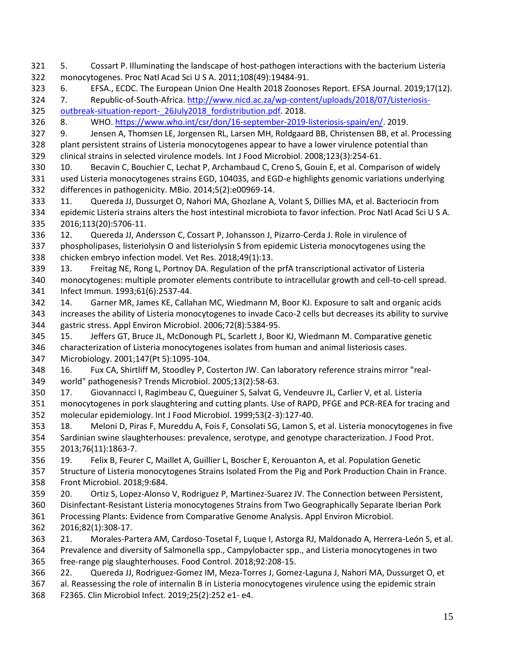5. Cossart P. Illuminating the landscape of host-pathogen interactions with the bacterium Listeria monocytogenes. Proc Natl Acad Sci U S A. 2011;108(49):19484-91.

6. EFSA., ECDC. The European Union One Health 2018 Zoonoses Report. EFSA Journal. 2019;17(12).

 7. Republic-of-South-Africa. [http://www.nicd.ac.za/wp-content/uploads/2018/07/Listeriosis-](http://www.nicd.ac.za/wp-content/uploads/2018/07/Listeriosis-outbreak-situation-report-_26July2018_fordistribution.pdf)325 outbreak-situation-report- 26July2018 fordistribution.pdf. 2018.

8. WHO. [https://www.who.int/csr/don/16-september-2019-listeriosis-spain/en/.](https://www.who.int/csr/don/16-september-2019-listeriosis-spain/en/) 2019.

 9. Jensen A, Thomsen LE, Jorgensen RL, Larsen MH, Roldgaard BB, Christensen BB, et al. Processing plant persistent strains of Listeria monocytogenes appear to have a lower virulence potential than clinical strains in selected virulence models. Int J Food Microbiol. 2008;123(3):254-61.

 10. Becavin C, Bouchier C, Lechat P, Archambaud C, Creno S, Gouin E, et al. Comparison of widely used Listeria monocytogenes strains EGD, 10403S, and EGD-e highlights genomic variations underlying differences in pathogenicity. MBio. 2014;5(2):e00969-14.

 11. Quereda JJ, Dussurget O, Nahori MA, Ghozlane A, Volant S, Dillies MA, et al. Bacteriocin from epidemic Listeria strains alters the host intestinal microbiota to favor infection. Proc Natl Acad Sci U S A. 2016;113(20):5706-11.

12. Quereda JJ, Andersson C, Cossart P, Johansson J, Pizarro-Cerda J. Role in virulence of

 phospholipases, listeriolysin O and listeriolysin S from epidemic Listeria monocytogenes using the chicken embryo infection model. Vet Res. 2018;49(1):13.

 13. Freitag NE, Rong L, Portnoy DA. Regulation of the prfA transcriptional activator of Listeria monocytogenes: multiple promoter elements contribute to intracellular growth and cell-to-cell spread. Infect Immun. 1993;61(6):2537-44.

 14. Garner MR, James KE, Callahan MC, Wiedmann M, Boor KJ. Exposure to salt and organic acids increases the ability of Listeria monocytogenes to invade Caco-2 cells but decreases its ability to survive gastric stress. Appl Environ Microbiol. 2006;72(8):5384-95.

 15. Jeffers GT, Bruce JL, McDonough PL, Scarlett J, Boor KJ, Wiedmann M. Comparative genetic characterization of Listeria monocytogenes isolates from human and animal listeriosis cases. Microbiology. 2001;147(Pt 5):1095-104.

 16. Fux CA, Shirtliff M, Stoodley P, Costerton JW. Can laboratory reference strains mirror "real-world" pathogenesis? Trends Microbiol. 2005;13(2):58-63.

 17. Giovannacci I, Ragimbeau C, Queguiner S, Salvat G, Vendeuvre JL, Carlier V, et al. Listeria monocytogenes in pork slaughtering and cutting plants. Use of RAPD, PFGE and PCR-REA for tracing and molecular epidemiology. Int J Food Microbiol. 1999;53(2-3):127-40.

 18. Meloni D, Piras F, Mureddu A, Fois F, Consolati SG, Lamon S, et al. Listeria monocytogenes in five Sardinian swine slaughterhouses: prevalence, serotype, and genotype characterization. J Food Prot. 2013;76(11):1863-7.

 19. Felix B, Feurer C, Maillet A, Guillier L, Boscher E, Kerouanton A, et al. Population Genetic Structure of Listeria monocytogenes Strains Isolated From the Pig and Pork Production Chain in France. Front Microbiol. 2018;9:684.

 20. Ortiz S, Lopez-Alonso V, Rodriguez P, Martinez-Suarez JV. The Connection between Persistent, Disinfectant-Resistant Listeria monocytogenes Strains from Two Geographically Separate Iberian Pork Processing Plants: Evidence from Comparative Genome Analysis. Appl Environ Microbiol.

2016;82(1):308-17.

 21. Morales-Partera AM, Cardoso-TosetaI F, Luque I, Astorga RJ, Maldonado A, Herrera-León S, et al. Prevalence and diversity of Salmonella spp., Campylobacter spp., and Listeria monocytogenes in two free-range pig slaughterhouses. Food Control. 2018;92:208-15.

 22. Quereda JJ, Rodriguez-Gomez IM, Meza-Torres J, Gomez-Laguna J, Nahori MA, Dussurget O, et al. Reassessing the role of internalin B in Listeria monocytogenes virulence using the epidemic strain F2365. Clin Microbiol Infect. 2019;25(2):252 e1- e4.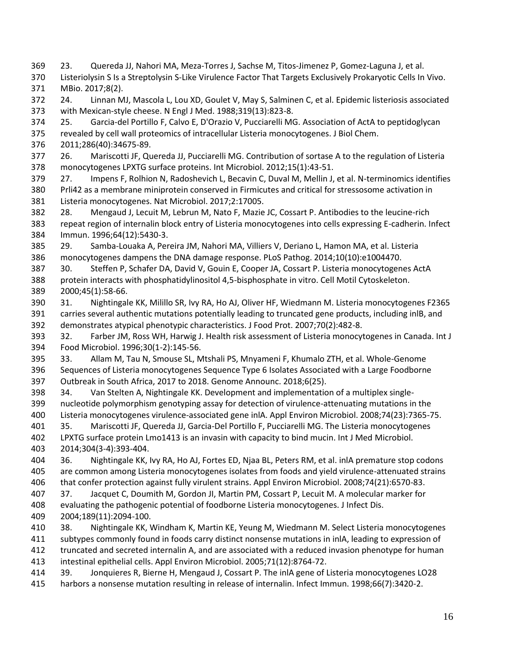23. Quereda JJ, Nahori MA, Meza-Torres J, Sachse M, Titos-Jimenez P, Gomez-Laguna J, et al.

 Listeriolysin S Is a Streptolysin S-Like Virulence Factor That Targets Exclusively Prokaryotic Cells In Vivo. MBio. 2017;8(2).

 24. Linnan MJ, Mascola L, Lou XD, Goulet V, May S, Salminen C, et al. Epidemic listeriosis associated with Mexican-style cheese. N Engl J Med. 1988;319(13):823-8.

25. Garcia-del Portillo F, Calvo E, D'Orazio V, Pucciarelli MG. Association of ActA to peptidoglycan

# revealed by cell wall proteomics of intracellular Listeria monocytogenes. J Biol Chem.

2011;286(40):34675-89.

 26. Mariscotti JF, Quereda JJ, Pucciarelli MG. Contribution of sortase A to the regulation of Listeria monocytogenes LPXTG surface proteins. Int Microbiol. 2012;15(1):43-51.

 27. Impens F, Rolhion N, Radoshevich L, Becavin C, Duval M, Mellin J, et al. N-terminomics identifies Prli42 as a membrane miniprotein conserved in Firmicutes and critical for stressosome activation in

Listeria monocytogenes. Nat Microbiol. 2017;2:17005.

 28. Mengaud J, Lecuit M, Lebrun M, Nato F, Mazie JC, Cossart P. Antibodies to the leucine-rich repeat region of internalin block entry of Listeria monocytogenes into cells expressing E-cadherin. Infect Immun. 1996;64(12):5430-3.

 29. Samba-Louaka A, Pereira JM, Nahori MA, Villiers V, Deriano L, Hamon MA, et al. Listeria monocytogenes dampens the DNA damage response. PLoS Pathog. 2014;10(10):e1004470.

 30. Steffen P, Schafer DA, David V, Gouin E, Cooper JA, Cossart P. Listeria monocytogenes ActA protein interacts with phosphatidylinositol 4,5-bisphosphate in vitro. Cell Motil Cytoskeleton. 2000;45(1):58-66.

 31. Nightingale KK, Milillo SR, Ivy RA, Ho AJ, Oliver HF, Wiedmann M. Listeria monocytogenes F2365 carries several authentic mutations potentially leading to truncated gene products, including inlB, and demonstrates atypical phenotypic characteristics. J Food Prot. 2007;70(2):482-8.

 32. Farber JM, Ross WH, Harwig J. Health risk assessment of Listeria monocytogenes in Canada. Int J Food Microbiol. 1996;30(1-2):145-56.

 33. Allam M, Tau N, Smouse SL, Mtshali PS, Mnyameni F, Khumalo ZTH, et al. Whole-Genome Sequences of Listeria monocytogenes Sequence Type 6 Isolates Associated with a Large Foodborne Outbreak in South Africa, 2017 to 2018. Genome Announc. 2018;6(25).

 34. Van Stelten A, Nightingale KK. Development and implementation of a multiplex single- nucleotide polymorphism genotyping assay for detection of virulence-attenuating mutations in the Listeria monocytogenes virulence-associated gene inlA. Appl Environ Microbiol. 2008;74(23):7365-75.

35. Mariscotti JF, Quereda JJ, Garcia-Del Portillo F, Pucciarelli MG. The Listeria monocytogenes

 LPXTG surface protein Lmo1413 is an invasin with capacity to bind mucin. Int J Med Microbiol. 2014;304(3-4):393-404.

 36. Nightingale KK, Ivy RA, Ho AJ, Fortes ED, Njaa BL, Peters RM, et al. inlA premature stop codons are common among Listeria monocytogenes isolates from foods and yield virulence-attenuated strains that confer protection against fully virulent strains. Appl Environ Microbiol. 2008;74(21):6570-83.

 37. Jacquet C, Doumith M, Gordon JI, Martin PM, Cossart P, Lecuit M. A molecular marker for evaluating the pathogenic potential of foodborne Listeria monocytogenes. J Infect Dis.

2004;189(11):2094-100.

 38. Nightingale KK, Windham K, Martin KE, Yeung M, Wiedmann M. Select Listeria monocytogenes subtypes commonly found in foods carry distinct nonsense mutations in inlA, leading to expression of

 truncated and secreted internalin A, and are associated with a reduced invasion phenotype for human intestinal epithelial cells. Appl Environ Microbiol. 2005;71(12):8764-72.

 39. Jonquieres R, Bierne H, Mengaud J, Cossart P. The inlA gene of Listeria monocytogenes LO28 harbors a nonsense mutation resulting in release of internalin. Infect Immun. 1998;66(7):3420-2.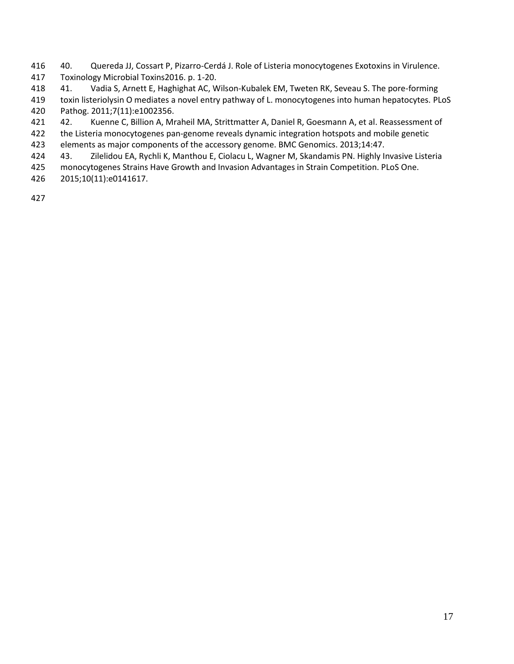- 40. Quereda JJ, Cossart P, Pizarro-Cerdá J. Role of Listeria monocytogenes Exotoxins in Virulence. Toxinology Microbial Toxins2016. p. 1-20.
- 41. Vadia S, Arnett E, Haghighat AC, Wilson-Kubalek EM, Tweten RK, Seveau S. The pore-forming
- toxin listeriolysin O mediates a novel entry pathway of L. monocytogenes into human hepatocytes. PLoS Pathog. 2011;7(11):e1002356.
- 42. Kuenne C, Billion A, Mraheil MA, Strittmatter A, Daniel R, Goesmann A, et al. Reassessment of
- the Listeria monocytogenes pan-genome reveals dynamic integration hotspots and mobile genetic
- elements as major components of the accessory genome. BMC Genomics. 2013;14:47.
- 43. Zilelidou EA, Rychli K, Manthou E, Ciolacu L, Wagner M, Skandamis PN. Highly Invasive Listeria
- monocytogenes Strains Have Growth and Invasion Advantages in Strain Competition. PLoS One.
- 2015;10(11):e0141617.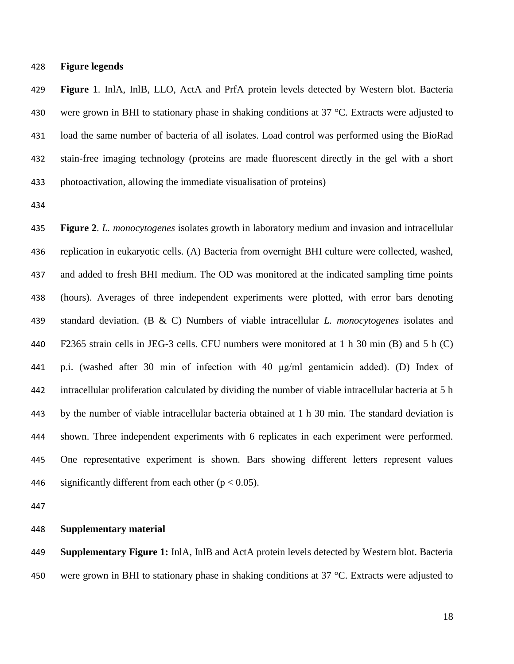**Figure legends**

 **Figure 1**. InlA, InlB, LLO, ActA and PrfA protein levels detected by Western blot. Bacteria 430 were grown in BHI to stationary phase in shaking conditions at  $37 \degree C$ . Extracts were adjusted to load the same number of bacteria of all isolates. Load control was performed using the BioRad stain-free imaging technology (proteins are made fluorescent directly in the gel with a short photoactivation, allowing the immediate visualisation of proteins)

 **Figure 2**. *L. monocytogenes* isolates growth in laboratory medium and invasion and intracellular replication in eukaryotic cells. (A) Bacteria from overnight BHI culture were collected, washed, and added to fresh BHI medium. The OD was monitored at the indicated sampling time points (hours). Averages of three independent experiments were plotted, with error bars denoting standard deviation. (B & C) Numbers of viable intracellular *L. monocytogenes* isolates and F2365 strain cells in JEG-3 cells. CFU numbers were monitored at 1 h 30 min (B) and 5 h (C) p.i. (washed after 30 min of infection with 40 μg/ml gentamicin added). (D) Index of intracellular proliferation calculated by dividing the number of viable intracellular bacteria at 5 h by the number of viable intracellular bacteria obtained at 1 h 30 min. The standard deviation is shown. Three independent experiments with 6 replicates in each experiment were performed. One representative experiment is shown. Bars showing different letters represent values 446 significantly different from each other  $(p < 0.05)$ .

#### **Supplementary material**

 **Supplementary Figure 1:** InlA, InlB and ActA protein levels detected by Western blot. Bacteria 450 were grown in BHI to stationary phase in shaking conditions at  $37 \degree C$ . Extracts were adjusted to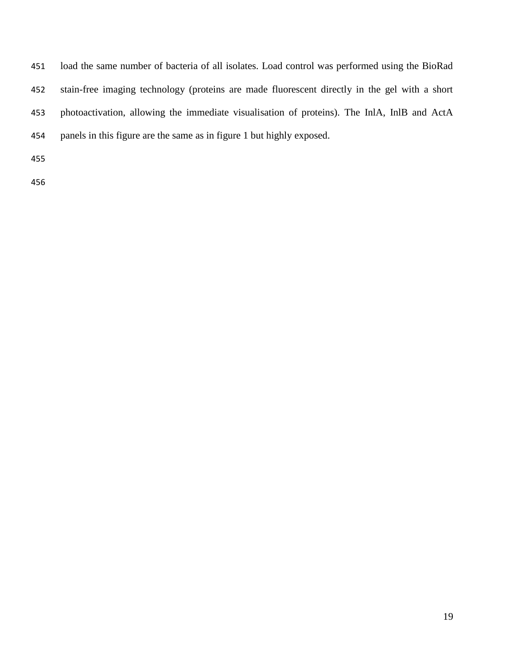load the same number of bacteria of all isolates. Load control was performed using the BioRad stain-free imaging technology (proteins are made fluorescent directly in the gel with a short photoactivation, allowing the immediate visualisation of proteins). The InlA, InlB and ActA panels in this figure are the same as in figure 1 but highly exposed.